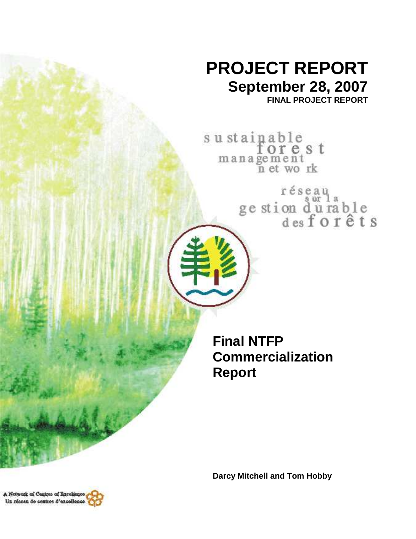# **PROJECT REPORT September 28, 2007**

**FINAL PROJECT REPORT** 

sustainable<br>for e s t management<br>n et work

réseau<br>ge stion d'urable<br>des forêts

**Final NTFP Commercialization Report** 

**Darcy Mitchell and Tom Hobby** 

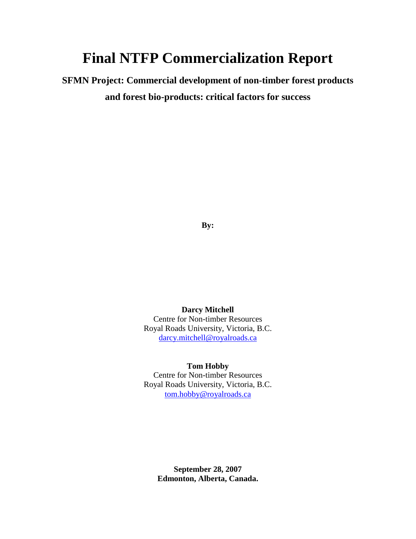## **Final NTFP Commercialization Report**

**SFMN Project: Commercial development of non-timber forest products and forest bio-products: critical factors for success** 

**By:** 

**Darcy Mitchell**  Centre for Non-timber Resources Royal Roads University, Victoria, B.C. darcy.mitchell@royalroads.ca

**Tom Hobby** 

Centre for Non-timber Resources Royal Roads University, Victoria, B.C. tom.hobby@royalroads.ca

> **September 28, 2007 Edmonton, Alberta, Canada.**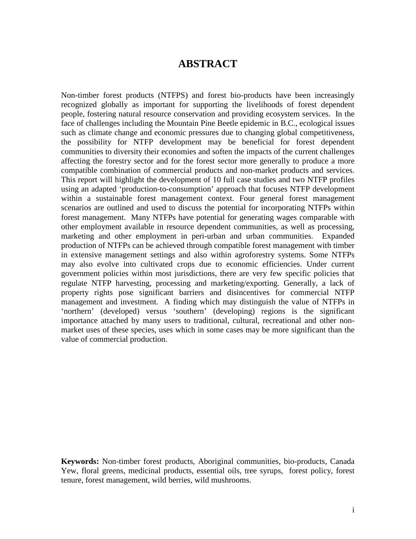## **ABSTRACT**

Non-timber forest products (NTFPS) and forest bio-products have been increasingly recognized globally as important for supporting the livelihoods of forest dependent people, fostering natural resource conservation and providing ecosystem services. In the face of challenges including the Mountain Pine Beetle epidemic in B.C., ecological issues such as climate change and economic pressures due to changing global competitiveness, the possibility for NTFP development may be beneficial for forest dependent communities to diversity their economies and soften the impacts of the current challenges affecting the forestry sector and for the forest sector more generally to produce a more compatible combination of commercial products and non-market products and services. This report will highlight the development of 10 full case studies and two NTFP profiles using an adapted 'production-to-consumption' approach that focuses NTFP development within a sustainable forest management context. Four general forest management scenarios are outlined and used to discuss the potential for incorporating NTFPs within forest management. Many NTFPs have potential for generating wages comparable with other employment available in resource dependent communities, as well as processing, marketing and other employment in peri-urban and urban communities. Expanded production of NTFPs can be achieved through compatible forest management with timber in extensive management settings and also within agroforestry systems. Some NTFPs may also evolve into cultivated crops due to economic efficiencies. Under current government policies within most jurisdictions, there are very few specific policies that regulate NTFP harvesting, processing and marketing/exporting. Generally, a lack of property rights pose significant barriers and disincentives for commercial NTFP management and investment. A finding which may distinguish the value of NTFPs in 'northern' (developed) versus 'southern' (developing) regions is the significant importance attached by many users to traditional, cultural, recreational and other nonmarket uses of these species, uses which in some cases may be more significant than the value of commercial production.

**Keywords:** Non-timber forest products, Aboriginal communities, bio-products, Canada Yew, floral greens, medicinal products, essential oils, tree syrups, forest policy, forest tenure, forest management, wild berries, wild mushrooms.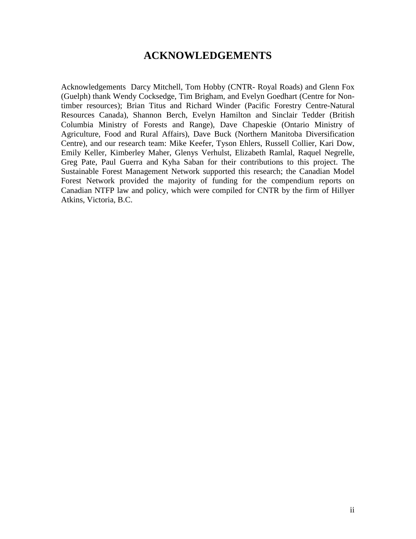## **ACKNOWLEDGEMENTS**

Acknowledgements Darcy Mitchell, Tom Hobby (CNTR- Royal Roads) and Glenn Fox (Guelph) thank Wendy Cocksedge, Tim Brigham, and Evelyn Goedhart (Centre for Nontimber resources); Brian Titus and Richard Winder (Pacific Forestry Centre-Natural Resources Canada), Shannon Berch, Evelyn Hamilton and Sinclair Tedder (British Columbia Ministry of Forests and Range), Dave Chapeskie (Ontario Ministry of Agriculture, Food and Rural Affairs), Dave Buck (Northern Manitoba Diversification Centre), and our research team: Mike Keefer, Tyson Ehlers, Russell Collier, Kari Dow, Emily Keller, Kimberley Maher, Glenys Verhulst, Elizabeth Ramlal, Raquel Negrelle, Greg Pate, Paul Guerra and Kyha Saban for their contributions to this project. The Sustainable Forest Management Network supported this research; the Canadian Model Forest Network provided the majority of funding for the compendium reports on Canadian NTFP law and policy, which were compiled for CNTR by the firm of Hillyer Atkins, Victoria, B.C.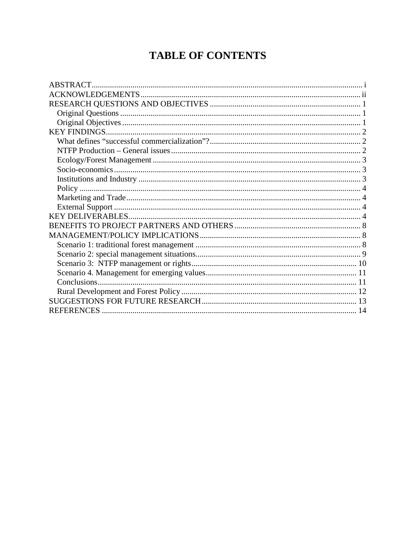## **TABLE OF CONTENTS**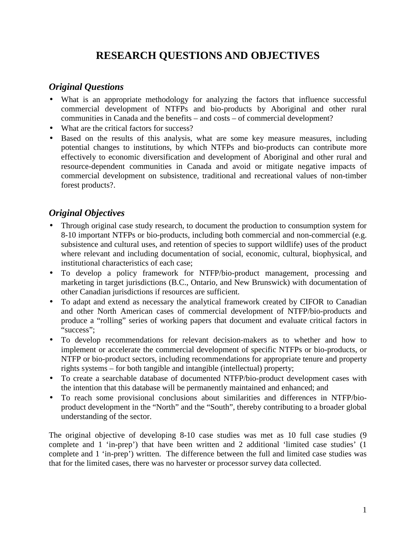## **RESEARCH QUESTIONS AND OBJECTIVES**

## *Original Questions*

- What is an appropriate methodology for analyzing the factors that influence successful commercial development of NTFPs and bio-products by Aboriginal and other rural communities in Canada and the benefits – and costs – of commercial development?
- What are the critical factors for success?
- Based on the results of this analysis, what are some key measure measures, including potential changes to institutions, by which NTFPs and bio-products can contribute more effectively to economic diversification and development of Aboriginal and other rural and resource-dependent communities in Canada and avoid or mitigate negative impacts of commercial development on subsistence, traditional and recreational values of non-timber forest products?.

## *Original Objectives*

- Through original case study research, to document the production to consumption system for 8-10 important NTFPs or bio-products, including both commercial and non-commercial (e.g. subsistence and cultural uses, and retention of species to support wildlife) uses of the product where relevant and including documentation of social, economic, cultural, biophysical, and institutional characteristics of each case;
- To develop a policy framework for NTFP/bio-product management, processing and marketing in target jurisdictions (B.C., Ontario, and New Brunswick) with documentation of other Canadian jurisdictions if resources are sufficient.
- To adapt and extend as necessary the analytical framework created by CIFOR to Canadian and other North American cases of commercial development of NTFP/bio-products and produce a "rolling" series of working papers that document and evaluate critical factors in "success";
- To develop recommendations for relevant decision-makers as to whether and how to implement or accelerate the commercial development of specific NTFPs or bio-products, or NTFP or bio-product sectors, including recommendations for appropriate tenure and property rights systems – for both tangible and intangible (intellectual) property;
- To create a searchable database of documented NTFP/bio-product development cases with the intention that this database will be permanently maintained and enhanced; and
- To reach some provisional conclusions about similarities and differences in NTFP/bioproduct development in the "North" and the "South", thereby contributing to a broader global understanding of the sector.

The original objective of developing 8-10 case studies was met as 10 full case studies (9 complete and 1 'in-prep') that have been written and 2 additional 'limited case studies' (1 complete and 1 'in-prep') written. The difference between the full and limited case studies was that for the limited cases, there was no harvester or processor survey data collected.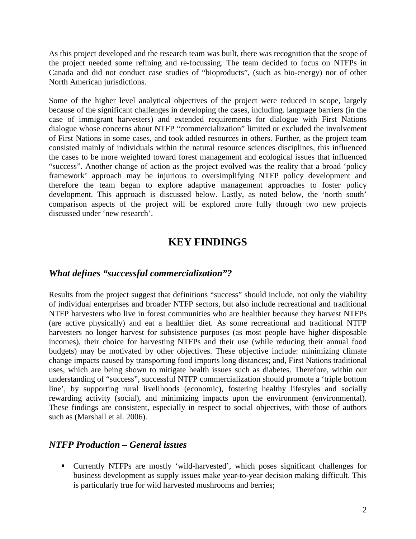As this project developed and the research team was built, there was recognition that the scope of the project needed some refining and re-focussing. The team decided to focus on NTFPs in Canada and did not conduct case studies of "bioproducts", (such as bio-energy) nor of other North American jurisdictions.

Some of the higher level analytical objectives of the project were reduced in scope, largely because of the significant challenges in developing the cases, including. language barriers (in the case of immigrant harvesters) and extended requirements for dialogue with First Nations dialogue whose concerns about NTFP "commercialization" limited or excluded the involvement of First Nations in some cases, and took added resources in others. Further, as the project team consisted mainly of individuals within the natural resource sciences disciplines, this influenced the cases to be more weighted toward forest management and ecological issues that influenced "success". Another change of action as the project evolved was the reality that a broad 'policy framework' approach may be injurious to oversimplifying NTFP policy development and therefore the team began to explore adaptive management approaches to foster policy development. This approach is discussed below. Lastly, as noted below, the 'north south' comparison aspects of the project will be explored more fully through two new projects discussed under 'new research'.

## **KEY FINDINGS**

## *What defines "successful commercialization"?*

Results from the project suggest that definitions "success" should include, not only the viability of individual enterprises and broader NTFP sectors, but also include recreational and traditional NTFP harvesters who live in forest communities who are healthier because they harvest NTFPs (are active physically) and eat a healthier diet. As some recreational and traditional NTFP harvesters no longer harvest for subsistence purposes (as most people have higher disposable incomes), their choice for harvesting NTFPs and their use (while reducing their annual food budgets) may be motivated by other objectives. These objective include: minimizing climate change impacts caused by transporting food imports long distances; and, First Nations traditional uses, which are being shown to mitigate health issues such as diabetes. Therefore, within our understanding of "success", successful NTFP commercialization should promote a 'triple bottom line', by supporting rural livelihoods (economic), fostering healthy lifestyles and socially rewarding activity (social), and minimizing impacts upon the environment (environmental). These findings are consistent, especially in respect to social objectives, with those of authors such as (Marshall et al. 2006).

## *NTFP Production – General issues*

 Currently NTFPs are mostly 'wild-harvested', which poses significant challenges for business development as supply issues make year-to-year decision making difficult. This is particularly true for wild harvested mushrooms and berries;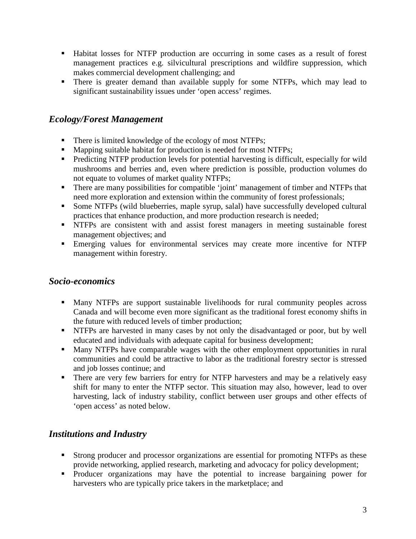- Habitat losses for NTFP production are occurring in some cases as a result of forest management practices e.g. silvicultural prescriptions and wildfire suppression, which makes commercial development challenging; and
- There is greater demand than available supply for some NTFPs, which may lead to significant sustainability issues under 'open access' regimes.

## *Ecology/Forest Management*

- There is limited knowledge of the ecology of most NTFPs;
- Mapping suitable habitat for production is needed for most NTFPs;
- **Predicting NTFP production levels for potential harvesting is difficult, especially for wild** mushrooms and berries and, even where prediction is possible, production volumes do not equate to volumes of market quality NTFPs;
- There are many possibilities for compatible 'joint' management of timber and NTFPs that need more exploration and extension within the community of forest professionals;
- Some NTFPs (wild blueberries, maple syrup, salal) have successfully developed cultural practices that enhance production, and more production research is needed;
- NTFPs are consistent with and assist forest managers in meeting sustainable forest management objectives; and
- Emerging values for environmental services may create more incentive for NTFP management within forestry.

## *Socio-economics*

- Many NTFPs are support sustainable livelihoods for rural community peoples across Canada and will become even more significant as the traditional forest economy shifts in the future with reduced levels of timber production;
- **NTFPs** are harvested in many cases by not only the disadvantaged or poor, but by well educated and individuals with adequate capital for business development;
- Many NTFPs have comparable wages with the other employment opportunities in rural communities and could be attractive to labor as the traditional forestry sector is stressed and job losses continue; and
- There are very few barriers for entry for NTFP harvesters and may be a relatively easy shift for many to enter the NTFP sector. This situation may also, however, lead to over harvesting, lack of industry stability, conflict between user groups and other effects of 'open access' as noted below.

## *Institutions and Industry*

- **Strong producer and processor organizations are essential for promoting NTFPs as these** provide networking, applied research, marketing and advocacy for policy development;
- Producer organizations may have the potential to increase bargaining power for harvesters who are typically price takers in the marketplace; and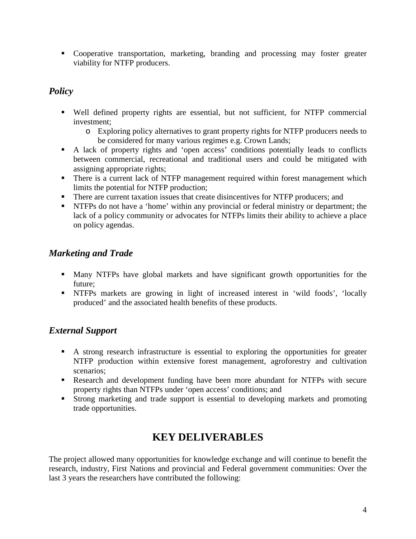• Cooperative transportation, marketing, branding and processing may foster greater viability for NTFP producers.

## *Policy*

- Well defined property rights are essential, but not sufficient, for NTFP commercial investment;
	- o Exploring policy alternatives to grant property rights for NTFP producers needs to be considered for many various regimes e.g. Crown Lands;
- A lack of property rights and 'open access' conditions potentially leads to conflicts between commercial, recreational and traditional users and could be mitigated with assigning appropriate rights;
- **There is a current lack of NTFP management required within forest management which** limits the potential for NTFP production;
- There are current taxation issues that create disincentives for NTFP producers; and
- **NTFPs** do not have a 'home' within any provincial or federal ministry or department; the lack of a policy community or advocates for NTFPs limits their ability to achieve a place on policy agendas.

## *Marketing and Trade*

- Many NTFPs have global markets and have significant growth opportunities for the future;
- NTFPs markets are growing in light of increased interest in 'wild foods', 'locally produced' and the associated health benefits of these products.

## *External Support*

- A strong research infrastructure is essential to exploring the opportunities for greater NTFP production within extensive forest management, agroforestry and cultivation scenarios;
- Research and development funding have been more abundant for NTFPs with secure property rights than NTFPs under 'open access' conditions; and
- Strong marketing and trade support is essential to developing markets and promoting trade opportunities.

## **KEY DELIVERABLES**

The project allowed many opportunities for knowledge exchange and will continue to benefit the research, industry, First Nations and provincial and Federal government communities: Over the last 3 years the researchers have contributed the following: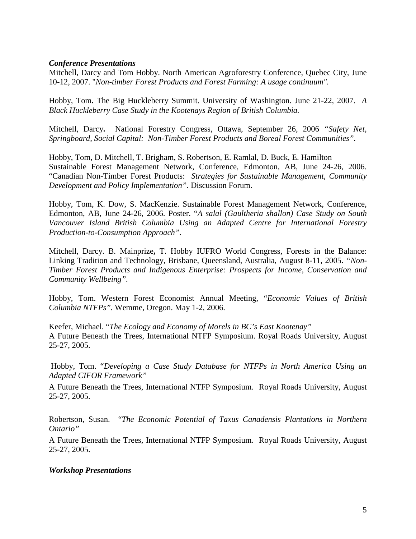#### *Conference Presentations*

Mitchell, Darcy and Tom Hobby. North American Agroforestry Conference, Quebec City, June 10-12, 2007. "*Non-timber Forest Products and Forest Farming: A usage continuum".*

Hobby, Tom**.** The Big Huckleberry Summit. University of Washington. June 21-22, 2007. *A Black Huckleberry Case Study in the Kootenays Region of British Columbia.* 

Mitchell, Darcy**.** National Forestry Congress, Ottawa, September 26, 2006 *"Safety Net, Springboard, Social Capital: Non-Timber Forest Products and Boreal Forest Communities".*

Hobby, Tom, D. Mitchell, T. Brigham, S. Robertson, E. Ramlal, D. Buck, E. Hamilton Sustainable Forest Management Network, Conference, Edmonton, AB, June 24-26, 2006. "Canadian Non-Timber Forest Products: *Strategies for Sustainable Management, Community Development and Policy Implementation"*. Discussion Forum.

Hobby, Tom, K. Dow, S. MacKenzie. Sustainable Forest Management Network, Conference, Edmonton, AB, June 24-26, 2006. Poster. "*A salal (Gaultheria shallon) Case Study on South Vancouver Island British Columbia Using an Adapted Centre for International Forestry Production-to-Consumption Approach".* 

Mitchell, Darcy. B. Mainprize**,** T. Hobby IUFRO World Congress, Forests in the Balance: Linking Tradition and Technology, Brisbane, Queensland, Australia, August 8-11, 2005. *"Non-Timber Forest Products and Indigenous Enterprise: Prospects for Income, Conservation and Community Wellbeing".*

Hobby, Tom. Western Forest Economist Annual Meeting, "*Economic Values of British Columbia NTFPs".* Wemme, Oregon. May 1-2, 2006.

Keefer, Michael. "*The Ecology and Economy of Morels in BC's East Kootenay"* A Future Beneath the Trees, International NTFP Symposium. Royal Roads University, August 25-27, 2005.

 Hobby, Tom. "*Developing a Case Study Database for NTFPs in North America Using an Adapted CIFOR Framework"*

A Future Beneath the Trees, International NTFP Symposium. Royal Roads University, August 25-27, 2005.

Robertson, Susan. "*The Economic Potential of Taxus Canadensis Plantations in Northern Ontario"*

A Future Beneath the Trees, International NTFP Symposium. Royal Roads University, August 25-27, 2005.

#### *Workshop Presentations*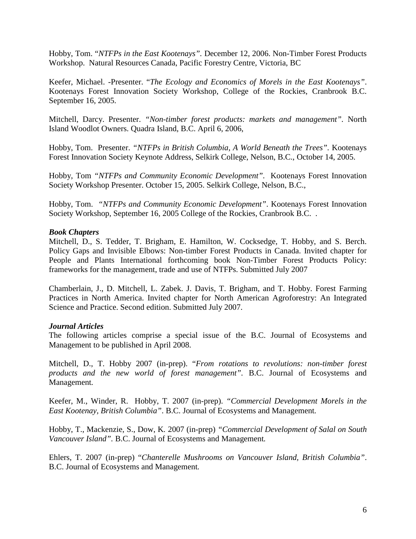Hobby, Tom. "*NTFPs in the East Kootenays".* December 12, 2006. Non-Timber Forest Products Workshop. Natural Resources Canada, Pacific Forestry Centre, Victoria, BC

Keefer, Michael. -Presenter. "*The Ecology and Economics of Morels in the East Kootenays"*. Kootenays Forest Innovation Society Workshop, College of the Rockies, Cranbrook B.C. September 16, 2005.

Mitchell, Darcy. Presenter. *"Non-timber forest products: markets and management".* North Island Woodlot Owners. Quadra Island, B.C. April 6, 2006,

Hobby, Tom. Presenter. *"NTFPs in British Columbia, A World Beneath the Trees".* Kootenays Forest Innovation Society Keynote Address, Selkirk College, Nelson, B.C., October 14, 2005.

Hobby, Tom *"NTFPs and Community Economic Development".* Kootenays Forest Innovation Society Workshop Presenter. October 15, 2005. Selkirk College, Nelson, B.C.,

Hobby, Tom. *"NTFPs and Community Economic Development"*. Kootenays Forest Innovation Society Workshop, September 16, 2005 College of the Rockies, Cranbrook B.C. .

#### *Book Chapters*

Mitchell, D., S. Tedder, T. Brigham, E. Hamilton, W. Cocksedge, T. Hobby, and S. Berch. Policy Gaps and Invisible Elbows: Non-timber Forest Products in Canada. Invited chapter for People and Plants International forthcoming book Non-Timber Forest Products Policy: frameworks for the management, trade and use of NTFPs. Submitted July 2007

Chamberlain, J., D. Mitchell, L. Zabek. J. Davis, T. Brigham, and T. Hobby. Forest Farming Practices in North America. Invited chapter for North American Agroforestry: An Integrated Science and Practice. Second edition. Submitted July 2007.

#### *Journal Articles*

The following articles comprise a special issue of the B.C. Journal of Ecosystems and Management to be published in April 2008.

Mitchell, D., T. Hobby 2007 (in-prep). "*From rotations to revolutions: non-timber forest products and the new world of forest management".* B.C. Journal of Ecosystems and Management*.* 

Keefer, M., Winder, R. Hobby, T. 2007 (in-prep). *"Commercial Development Morels in the East Kootenay, British Columbia"*. B.C. Journal of Ecosystems and Management*.*

Hobby, T., Mackenzie, S., Dow, K*.* 2007 (in-prep) *"Commercial Development of Salal on South Vancouver Island".* B.C. Journal of Ecosystems and Management*.*

Ehlers, T. 2007 (in-prep) "*Chanterelle Mushrooms on Vancouver Island, British Columbia"*. B.C. Journal of Ecosystems and Management*.*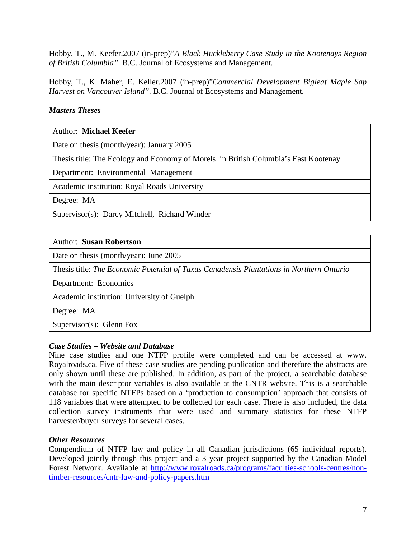Hobby, T., M. Keefer.2007 (in-prep)"*A Black Huckleberry Case Study in the Kootenays Region of British Columbia".* B.C. Journal of Ecosystems and Management*.*

Hobby, T., K. Maher, E. Keller.2007 (in-prep)"*Commercial Development Bigleaf Maple Sap Harvest on Vancouver Island".* B.C. Journal of Ecosystems and Management*.*

#### *Masters Theses*

Author: **Michael Keefer**

Date on thesis (month/year): January 2005

Thesis title: The Ecology and Economy of Morels in British Columbia's East Kootenay

Department: Environmental Management

Academic institution: Royal Roads University

Degree: MA

Supervisor(s): Darcy Mitchell, Richard Winder

#### Author: **Susan Robertson**

Date on thesis (month/year): June 2005

Thesis title: *The Economic Potential of Taxus Canadensis Plantations in Northern Ontario*

Department: Economics

Academic institution: University of Guelph

Degree: MA

Supervisor(s): Glenn Fox

#### *Case Studies – Website and Database*

Nine case studies and one NTFP profile were completed and can be accessed at www. Royalroads.ca. Five of these case studies are pending publication and therefore the abstracts are only shown until these are published. In addition, as part of the project, a searchable database with the main descriptor variables is also available at the CNTR website. This is a searchable database for specific NTFPs based on a 'production to consumption' approach that consists of 118 variables that were attempted to be collected for each case. There is also included, the data collection survey instruments that were used and summary statistics for these NTFP harvester/buyer surveys for several cases.

#### *Other Resources*

Compendium of NTFP law and policy in all Canadian jurisdictions (65 individual reports). Developed jointly through this project and a 3 year project supported by the Canadian Model Forest Network. Available at http://www.royalroads.ca/programs/faculties-schools-centres/nontimber-resources/cntr-law-and-policy-papers.htm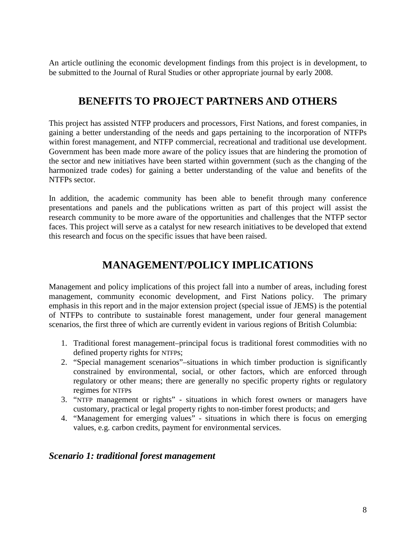An article outlining the economic development findings from this project is in development, to be submitted to the Journal of Rural Studies or other appropriate journal by early 2008.

## **BENEFITS TO PROJECT PARTNERS AND OTHERS**

This project has assisted NTFP producers and processors, First Nations, and forest companies, in gaining a better understanding of the needs and gaps pertaining to the incorporation of NTFPs within forest management, and NTFP commercial, recreational and traditional use development. Government has been made more aware of the policy issues that are hindering the promotion of the sector and new initiatives have been started within government (such as the changing of the harmonized trade codes) for gaining a better understanding of the value and benefits of the NTFPs sector.

In addition, the academic community has been able to benefit through many conference presentations and panels and the publications written as part of this project will assist the research community to be more aware of the opportunities and challenges that the NTFP sector faces. This project will serve as a catalyst for new research initiatives to be developed that extend this research and focus on the specific issues that have been raised.

## **MANAGEMENT/POLICY IMPLICATIONS**

Management and policy implications of this project fall into a number of areas, including forest management, community economic development, and First Nations policy. The primary emphasis in this report and in the major extension project (special issue of JEMS) is the potential of NTFPs to contribute to sustainable forest management, under four general management scenarios, the first three of which are currently evident in various regions of British Columbia:

- 1. Traditional forest management–principal focus is traditional forest commodities with no defined property rights for NTFPs;
- 2. "Special management scenarios"–situations in which timber production is significantly constrained by environmental, social, or other factors, which are enforced through regulatory or other means; there are generally no specific property rights or regulatory regimes for NTFPs
- 3. "NTFP management or rights" situations in which forest owners or managers have customary, practical or legal property rights to non-timber forest products; and
- 4. "Management for emerging values" situations in which there is focus on emerging values, e.g. carbon credits, payment for environmental services.

## *Scenario 1: traditional forest management*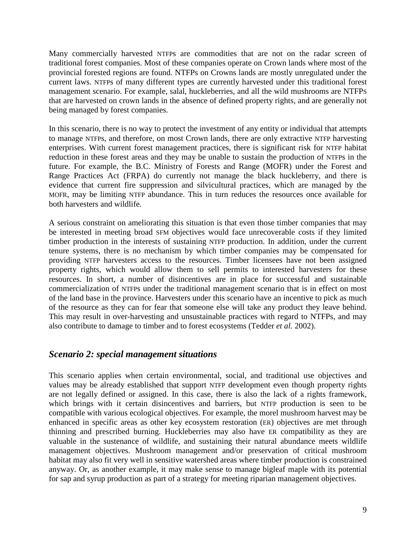Many commercially harvested NTFPs are commodities that are not on the radar screen of traditional forest companies. Most of these companies operate on Crown lands where most of the provincial forested regions are found. NTFPs on Crowns lands are mostly unregulated under the current laws. NTFPs of many different types are currently harvested under this traditional forest management scenario. For example, salal, huckleberries, and all the wild mushrooms are NTFPS that are harvested on crown lands in the absence of defined property rights, and are generally not being managed by forest companies.

In this scenario, there is no way to protect the investment of any entity or individual that attempts to manage NTFPs, and therefore, on most Crown lands, there are only extractive NTFP harvesting enterprises. With current forest management practices, there is significant risk for NTFP habitat reduction in these forest areas and they may be unable to sustain the production of NTFPs in the future. For example, the B.C. Ministry of Forests and Range (MOFR) under the Forest and Range Practices Act (FRPA) do currently not manage the black huckleberry, and there is evidence that current fire suppression and silvicultural practices, which are managed by the MOFR, may be limiting NTFP abundance. This in turn reduces the resources once available for both harvesters and wildlife.

A serious constraint on ameliorating this situation is that even those timber companies that may be interested in meeting broad SFM objectives would face unrecoverable costs if they limited timber production in the interests of sustaining NTFP production. In addition, under the current tenure systems, there is no mechanism by which timber companies may be compensated for providing NTFP harvesters access to the resources. Timber licensees have not been assigned property rights, which would allow them to sell permits to interested harvesters for these resources. In short, a number of disincentives are in place for successful and sustainable commercialization of NTFPs under the traditional management scenario that is in effect on most of the land base in the province. Harvesters under this scenario have an incentive to pick as much of the resource as they can for fear that someone else will take any product they leave behind. This may result in over-harvesting and unsustainable practices with regard to NTFPs, and may also contribute to damage to timber and to forest ecosystems (Tedder *et al.* 2002).

## *Scenario 2: special management situations*

This scenario applies when certain environmental, social, and traditional use objectives and values may be already established that support NTFP development even though property rights are not legally defined or assigned. In this case, there is also the lack of a rights framework, which brings with it certain disincentives and barriers, but NTFP production is seen to be compatible with various ecological objectives. For example, the morel mushroom harvest may be enhanced in specific areas as other key ecosystem restoration (ER) objectives are met through thinning and prescribed burning. Huckleberries may also have ER compatibility as they are valuable in the sustenance of wildlife, and sustaining their natural abundance meets wildlife management objectives. Mushroom management and/or preservation of critical mushroom habitat may also fit very well in sensitive watershed areas where timber production is constrained anyway. Or, as another example, it may make sense to manage bigleaf maple with its potential for sap and syrup production as part of a strategy for meeting riparian management objectives.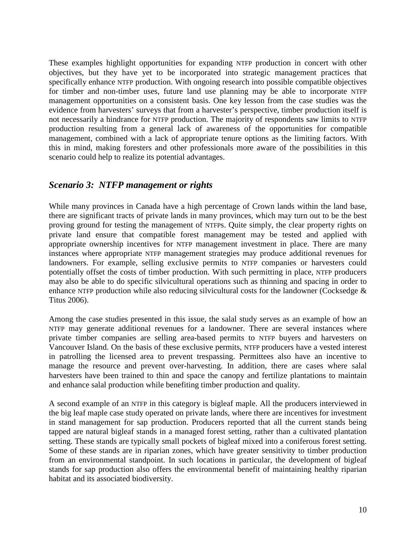These examples highlight opportunities for expanding NTFP production in concert with other objectives, but they have yet to be incorporated into strategic management practices that specifically enhance NTFP production. With ongoing research into possible compatible objectives for timber and non-timber uses, future land use planning may be able to incorporate NTFP management opportunities on a consistent basis. One key lesson from the case studies was the evidence from harvesters' surveys that from a harvester's perspective, timber production itself is not necessarily a hindrance for NTFP production. The majority of respondents saw limits to NTFP production resulting from a general lack of awareness of the opportunities for compatible management, combined with a lack of appropriate tenure options as the limiting factors. With this in mind, making foresters and other professionals more aware of the possibilities in this scenario could help to realize its potential advantages.

#### *Scenario 3: NTFP management or rights*

While many provinces in Canada have a high percentage of Crown lands within the land base, there are significant tracts of private lands in many provinces, which may turn out to be the best proving ground for testing the management of NTFPs. Quite simply, the clear property rights on private land ensure that compatible forest management may be tested and applied with appropriate ownership incentives for NTFP management investment in place. There are many instances where appropriate NTFP management strategies may produce additional revenues for landowners. For example, selling exclusive permits to NTFP companies or harvesters could potentially offset the costs of timber production. With such permitting in place, NTFP producers may also be able to do specific silvicultural operations such as thinning and spacing in order to enhance NTFP production while also reducing silvicultural costs for the landowner (Cocksedge & Titus 2006).

Among the case studies presented in this issue, the salal study serves as an example of how an NTFP may generate additional revenues for a landowner. There are several instances where private timber companies are selling area-based permits to NTFP buyers and harvesters on Vancouver Island. On the basis of these exclusive permits, NTFP producers have a vested interest in patrolling the licensed area to prevent trespassing. Permittees also have an incentive to manage the resource and prevent over-harvesting. In addition, there are cases where salal harvesters have been trained to thin and space the canopy and fertilize plantations to maintain and enhance salal production while benefiting timber production and quality.

A second example of an NTFP in this category is bigleaf maple. All the producers interviewed in the big leaf maple case study operated on private lands, where there are incentives for investment in stand management for sap production. Producers reported that all the current stands being tapped are natural bigleaf stands in a managed forest setting, rather than a cultivated plantation setting. These stands are typically small pockets of bigleaf mixed into a coniferous forest setting. Some of these stands are in riparian zones, which have greater sensitivity to timber production from an environmental standpoint. In such locations in particular, the development of bigleaf stands for sap production also offers the environmental benefit of maintaining healthy riparian habitat and its associated biodiversity.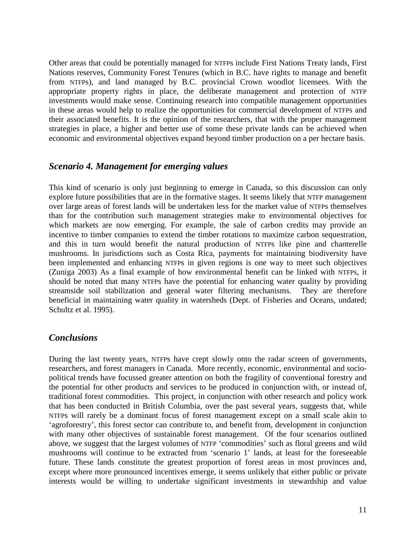Other areas that could be potentially managed for NTFPs include First Nations Treaty lands, First Nations reserves, Community Forest Tenures (which in B.C. have rights to manage and benefit from NTFPs), and land managed by B.C. provincial Crown woodlot licensees. With the appropriate property rights in place, the deliberate management and protection of NTFP investments would make sense. Continuing research into compatible management opportunities in these areas would help to realize the opportunities for commercial development of NTFPs and their associated benefits. It is the opinion of the researchers, that with the proper management strategies in place, a higher and better use of some these private lands can be achieved when economic and environmental objectives expand beyond timber production on a per hectare basis.

## *Scenario 4. Management for emerging values*

This kind of scenario is only just beginning to emerge in Canada, so this discussion can only explore future possibilities that are in the formative stages. It seems likely that NTFP management over large areas of forest lands will be undertaken less for the market value of NTFPs themselves than for the contribution such management strategies make to environmental objectives for which markets are now emerging. For example, the sale of carbon credits may provide an incentive to timber companies to extend the timber rotations to maximize carbon sequestration, and this in turn would benefit the natural production of NTFPs like pine and chanterelle mushrooms. In jurisdictions such as Costa Rica, payments for maintaining biodiversity have been implemented and enhancing NTFPs in given regions is one way to meet such objectives (Zuniga 2003) As a final example of how environmental benefit can be linked with NTFPs, it should be noted that many NTFPs have the potential for enhancing water quality by providing streamside soil stabilization and general water filtering mechanisms. They are therefore beneficial in maintaining water quality in watersheds (Dept. of Fisheries and Oceans, undated; Schultz et al. 1995).

## *Conclusions*

During the last twenty years, NTFPs have crept slowly onto the radar screen of governments, researchers, and forest managers in Canada. More recently, economic, environmental and sociopolitical trends have focussed greater attention on both the fragility of conventional forestry and the potential for other products and services to be produced in conjunction with, or instead of, traditional forest commodities. This project, in conjunction with other research and policy work that has been conducted in British Columbia, over the past several years, suggests that, while NTFPs will rarely be a dominant focus of forest management except on a small scale akin to 'agroforestry', this forest sector can contribute to, and benefit from, development in conjunction with many other objectives of sustainable forest management. Of the four scenarios outlined above, we suggest that the largest volumes of NTFP 'commodities' such as floral greens and wild mushrooms will continue to be extracted from 'scenario 1' lands, at least for the foreseeable future. These lands constitute the greatest proportion of forest areas in most provinces and, except where more pronounced incentives emerge, it seems unlikely that either public or private interests would be willing to undertake significant investments in stewardship and value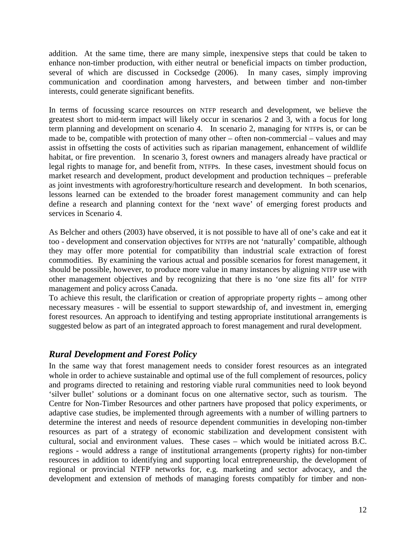addition. At the same time, there are many simple, inexpensive steps that could be taken to enhance non-timber production, with either neutral or beneficial impacts on timber production, several of which are discussed in Cocksedge (2006). In many cases, simply improving communication and coordination among harvesters, and between timber and non-timber interests, could generate significant benefits.

In terms of focussing scarce resources on NTFP research and development, we believe the greatest short to mid-term impact will likely occur in scenarios 2 and 3, with a focus for long term planning and development on scenario 4. In scenario 2, managing for NTFPs is, or can be made to be, compatible with protection of many other – often non-commercial – values and may assist in offsetting the costs of activities such as riparian management, enhancement of wildlife habitat, or fire prevention. In scenario 3, forest owners and managers already have practical or legal rights to manage for, and benefit from, NTFPs. In these cases, investment should focus on market research and development, product development and production techniques – preferable as joint investments with agroforestry/horticulture research and development. In both scenarios, lessons learned can be extended to the broader forest management community and can help define a research and planning context for the 'next wave' of emerging forest products and services in Scenario 4.

As Belcher and others (2003) have observed, it is not possible to have all of one's cake and eat it too - development and conservation objectives for NTFPs are not 'naturally' compatible, although they may offer more potential for compatibility than industrial scale extraction of forest commodities. By examining the various actual and possible scenarios for forest management, it should be possible, however, to produce more value in many instances by aligning NTFP use with other management objectives and by recognizing that there is no 'one size fits all' for NTFP management and policy across Canada.

To achieve this result, the clarification or creation of appropriate property rights – among other necessary measures - will be essential to support stewardship of, and investment in, emerging forest resources. An approach to identifying and testing appropriate institutional arrangements is suggested below as part of an integrated approach to forest management and rural development.

## *Rural Development and Forest Policy*

In the same way that forest management needs to consider forest resources as an integrated whole in order to achieve sustainable and optimal use of the full complement of resources, policy and programs directed to retaining and restoring viable rural communities need to look beyond 'silver bullet' solutions or a dominant focus on one alternative sector, such as tourism. The Centre for Non-Timber Resources and other partners have proposed that policy experiments, or adaptive case studies, be implemented through agreements with a number of willing partners to determine the interest and needs of resource dependent communities in developing non-timber resources as part of a strategy of economic stabilization and development consistent with cultural, social and environment values. These cases – which would be initiated across B.C. regions - would address a range of institutional arrangements (property rights) for non-timber resources in addition to identifying and supporting local entrepreneurship, the development of regional or provincial NTFP networks for, e.g. marketing and sector advocacy, and the development and extension of methods of managing forests compatibly for timber and non-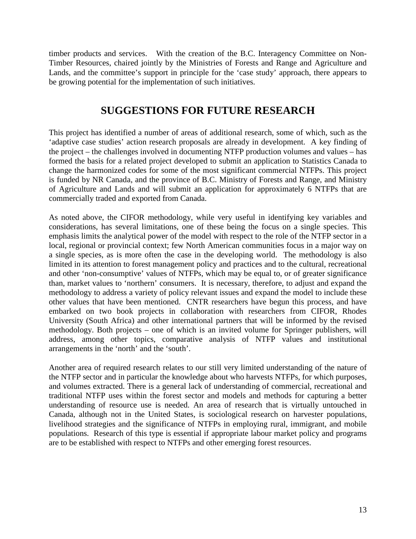timber products and services. With the creation of the B.C. Interagency Committee on Non-Timber Resources, chaired jointly by the Ministries of Forests and Range and Agriculture and Lands, and the committee's support in principle for the 'case study' approach, there appears to be growing potential for the implementation of such initiatives.

## **SUGGESTIONS FOR FUTURE RESEARCH**

This project has identified a number of areas of additional research, some of which, such as the 'adaptive case studies' action research proposals are already in development. A key finding of the project – the challenges involved in documenting NTFP production volumes and values – has formed the basis for a related project developed to submit an application to Statistics Canada to change the harmonized codes for some of the most significant commercial NTFPs. This project is funded by NR Canada, and the province of B.C. Ministry of Forests and Range, and Ministry of Agriculture and Lands and will submit an application for approximately 6 NTFPs that are commercially traded and exported from Canada.

As noted above, the CIFOR methodology, while very useful in identifying key variables and considerations, has several limitations, one of these being the focus on a single species. This emphasis limits the analytical power of the model with respect to the role of the NTFP sector in a local, regional or provincial context; few North American communities focus in a major way on a single species, as is more often the case in the developing world. The methodology is also limited in its attention to forest management policy and practices and to the cultural, recreational and other 'non-consumptive' values of NTFPs, which may be equal to, or of greater significance than, market values to 'northern' consumers. It is necessary, therefore, to adjust and expand the methodology to address a variety of policy relevant issues and expand the model to include these other values that have been mentioned. CNTR researchers have begun this process, and have embarked on two book projects in collaboration with researchers from CIFOR, Rhodes University (South Africa) and other international partners that will be informed by the revised methodology. Both projects – one of which is an invited volume for Springer publishers, will address, among other topics, comparative analysis of NTFP values and institutional arrangements in the 'north' and the 'south'.

Another area of required research relates to our still very limited understanding of the nature of the NTFP sector and in particular the knowledge about who harvests NTFPs, for which purposes, and volumes extracted. There is a general lack of understanding of commercial, recreational and traditional NTFP uses within the forest sector and models and methods for capturing a better understanding of resource use is needed. An area of research that is virtually untouched in Canada, although not in the United States, is sociological research on harvester populations, livelihood strategies and the significance of NTFPs in employing rural, immigrant, and mobile populations. Research of this type is essential if appropriate labour market policy and programs are to be established with respect to NTFPs and other emerging forest resources.